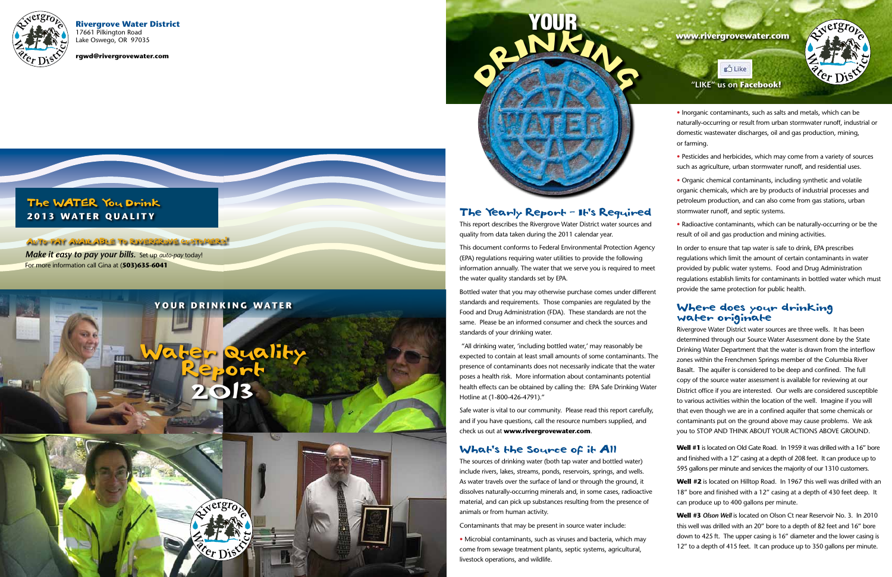**Rivergrove Water District** 17661 Pilkington Road Lake Oswego, OR 97035

**rgwd@rivergrovewater.com**

# The WATER You Drink **2013 WATER QUALITY**

### The Yearly Report - It's Required

This report describes the Rivergrove Water District water sources and quality from data taken during the 2011 calendar year.

This document conforms to Federal Environmental Protection Agency (EPA) regulations requiring water utilities to provide the following information annually. The water that we serve you is required to meet the water quality standards set by EPA.

Bottled water that you may otherwise purchase comes under different standards and requirements. Those companies are regulated by the Food and Drug Administration (FDA). These standards are not the same. Please be an informed consumer and check the sources and standards of your drinking water.

 "All drinking water, 'including bottled water,' may reasonably be expected to contain at least small amounts of some contaminants. The presence of contaminants does not necessarily indicate that the water poses a health risk. More information about contaminants potential health effects can be obtained by calling the: EPA Safe Drinking Water Hotline at (1-800-426-4791)."



Safe water is vital to our community. Please read this report carefully, and if you have questions, call the resource numbers supplied, and check us out at **www.rivergrovewater.com**.

### What's the Source of it All

The sources of drinking water (both tap water and bottled water) include rivers, lakes, streams, ponds, reservoirs, springs, and wells. As water travels over the surface of land or through the ground, it dissolves naturally-occurring minerals and, in some cases, radioactive material, and can pick up substances resulting from the presence of animals or from human activity.

Contaminants that may be present in source water include:

• Microbial contaminants, such as viruses and bacteria, which may come from sewage treatment plants, septic systems, agricultural, livestock operations, and wildlife.



• Inorganic contaminants, such as salts and metals, which can be naturally-occurring or result from urban stormwater runoff, industrial or domestic wastewater discharges, oil and gas production, mining, or farming.

• Pesticides and herbicides, which may come from a variety of sources such as agriculture, urban stormwater runoff, and residential uses.

AUTO-PAY AVAILABLE TO RIVERGROVE CUSTOMERS! *Make it easy to pay your bills.* Set up *auto-pay* today!

• Organic chemical contaminants, including synthetic and volatile organic chemicals, which are by products of industrial processes and petroleum production, and can also come from gas stations, urban stormwater runoff, and septic systems.

• Radioactive contaminants, which can be naturally-occurring or be the result of oil and gas production and mining activities.

In order to ensure that tap water is safe to drink, EPA prescribes regulations which limit the amount of certain contaminants in water provided by public water systems. Food and Drug Administration regulations establish limits for contaminants in bottled water which must provide the same protection for public health.

### Where does your drinking water originate

Rivergrove Water District water sources are three wells. It has been determined through our Source Water Assessment done by the State Drinking Water Department that the water is drawn from the interflow zones within the Frenchmen Springs member of the Columbia River Basalt. The aquifer is considered to be deep and confined. The full copy of the source water assessment is available for reviewing at our District office if you are interested. Our wells are considered susceptible to various activities within the location of the well. Imagine if you will that even though we are in a confined aquifer that some chemicals or contaminants put on the ground above may cause problems. We ask you to STOP AND THINK ABOUT YOUR ACTIONS ABOVE GROUND.

**Well #1** is located on Old Gate Road. In 1959 it was drilled with a 16" bore and finished with a 12" casing at a depth of 208 feet. It can produce up to 595 gallons per minute and services the majority of our 1310 customers.

**Well #2** is located on Hilltop Road. In 1967 this well was drilled with an 18" bore and finished with a 12" casing at a depth of 430 feet deep. It can produce up to 400 gallons per minute.

**Well #3** *Olson Well* is located on Olson Ct near Reservoir No. 3. In 2010 this well was drilled with an 20" bore to a depth of 82 feet and 16" bore down to 425 ft. The upper casing is 16" diameter and the lower casing is 12" to a depth of 415 feet. It can produce up to 350 gallons per minute.





For more information call Gina at (**503)635-6041**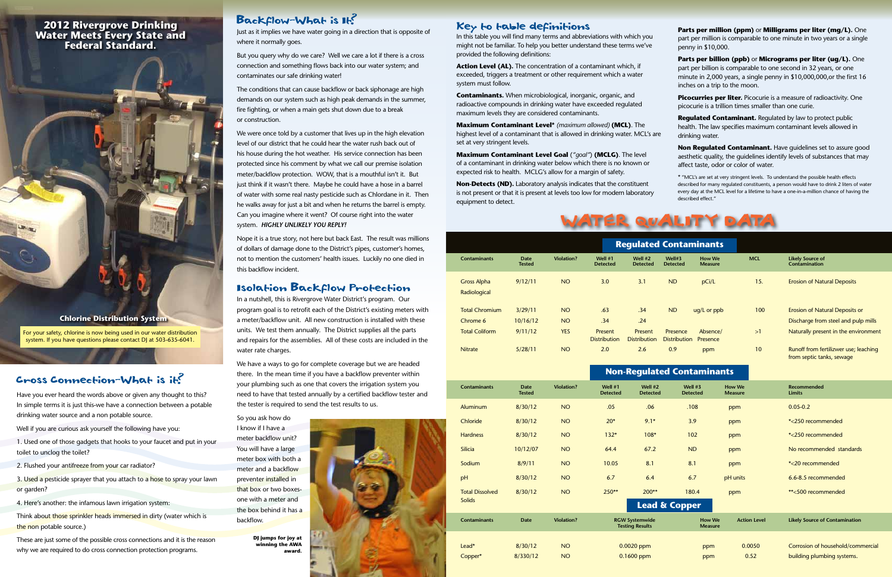

In this table you will find many terms and abbreviations with which you might not be familiar. To help you better understand these terms we've provided the following definitions:

**Action Level (AL).** The concentration of a contaminant which, if exceeded, triggers a treatment or other requirement which a water system must follow.

**Contaminants.** When microbiological, inorganic, organic, and radioactive compounds in drinking water have exceeded regulated maximum levels they are considered contaminants.

**Maximum Contaminant Level\*** *(maximum allowed)* **(MCL)**. The highest level of a contaminant that is allowed in drinking water. MCL's are set at very stringent levels.

**Picocurries per liter.** Picocurie is a measure of radioactivity. One picocurie is a trillion times smaller than one curie.

**Maximum Contaminant Level Goal** (*"goal"*) **(MCLG)**. The level of a contaminant in drinking water below which there is no known or expected risk to health. MCLG's allow for a margin of safety.

**Non-Detects (ND).** Laboratory analysis indicates that the constituent is not present or that it is present at levels too low for modern laboratory equipment to detect.

**Parts per million (ppm)** or **Milligrams per liter (mg/L).** One part per million is comparable to one minute in two years or a single penny in \$10,000.

**Parts per billion (ppb)** or **Micrograms per liter (ug/L).** One part per billion is comparable to one second in 32 years, or one minute in 2,000 years, a single penny in \$10,000,000,or the first 16 inches on a trip to the moon.

**Regulated Contaminant.** Regulated by law to protect public health. The law specifies maximum contaminant levels allowed in drinking water.

**Non Regulated Contaminant.** Have guidelines set to assure good aesthetic quality, the guidelines identify levels of substances that may affect taste, odor or color of water.

We have a ways to go for complete coverage but we are headed there. In the mean time if you have a backflow preventer within your plumbing such as one that covers the irrigation system you need to have that tested annually by a certified backflow tester and the tester is required to send the test results to us. Cross Connection-What is it?<br>your plumbing such as one that covers the irrigation system you \* "MCL's are set at very stringent levels. To understand the possible health effects described for many regulated constituents, a person would have to drink 2 liters of water every day at the MCL level for a lifetime to have a one-in-a-million chance of having the described effect."



# Backflow-What is It?

Just as it implies we have water going in a direction that is opposite of where it normally goes.

But you query why do we care? Well we care a lot if there is a cross connection and something flows back into our water system; and contaminates our safe drinking water!

The conditions that can cause backflow or back siphonage are high demands on our system such as high peak demands in the summer, fire fighting, or when a main gets shut down due to a break or construction.

We were once told by a customer that lives up in the high elevation level of our district that he could hear the water rush back out of his house during the hot weather. His service connection has been protected since his comment by what we call our premise isolation meter/backflow protection. WOW, that is a mouthful isn't it. But just think if it wasn't there. Maybe he could have a hose in a barrel of water with some real nasty pesticide such as Chlordane in it. Then he walks away for just a bit and when he returns the barrel is empty. Can you imagine where it went? Of course right into the water system. *HIGHLY UNLIKELY YOU REPLY!*

3. Used a pesticide sprayer that you attach to a hose to spray your lawn or garden?

Think about those sprinkler heads immersed in dirty (water which is the non potable source.)

These are just some of the possible cross connections and it is the reason why we are required to do cross connection protection programs.

Nope it is a true story, not here but back East. The result was millions of dollars of damage done to the District's pipes, customer's homes, not to mention the customers' health issues. Luckily no one died in this backflow incident.

# Isolation Backflow Protection

| <b>Contaminants</b>                | <b>Date</b><br><b>Tested</b> | <b>Violation?</b>      | Well $#1$<br><b>Detected</b>   | Well $#2$<br><b>Detected</b>          | Well#3<br><b>Detected</b>       | How We<br><b>Measure</b> | <b>MCL</b> | <b>Likely Source of</b><br><b>Contamination</b>                              |
|------------------------------------|------------------------------|------------------------|--------------------------------|---------------------------------------|---------------------------------|--------------------------|------------|------------------------------------------------------------------------------|
| <b>Gross Alpha</b><br>Radiological | 9/12/11                      | NO <sub>1</sub>        | 3.0                            | 3.1                                   | <b>ND</b>                       | pCi/L                    | 15.        | <b>Erosion of Natural Deposits</b>                                           |
| <b>Total Chromium</b><br>Chrome 6  | 3/29/11<br>10/16/12          | <b>NO</b><br><b>NO</b> | .63<br>.34                     | .34<br>.24                            | <b>ND</b>                       | $uq/L$ or $ppb$          | 100        | <b>Erosion of Natural Deposits or</b><br>Discharge from steel and pulp mills |
| <b>Total Coliform</b>              | 9/11/12                      | <b>YES</b>             | Present<br><b>Distribution</b> | <b>Present</b><br><b>Distribution</b> | Presence<br><b>Distribution</b> | Absence/<br>Presence     | >1         | Naturally present in the environment                                         |
| <b>Nitrate</b>                     | 5/28/11                      | <b>NO</b>              | 2.0                            | 2.6                                   | 0.9                             | ppm                      | 10         | Runoff from fertilizwer use; leaching<br>from septic tanks, sewage           |

In a nutshell, this is Rivergrove Water District's program. Our program goal is to retrofit each of the District's existing meters with a meter/backflow unit. All new construction is installed with these units. We test them annually. The District supplies all the parts and repairs for the assemblies. All of these costs are included in the water rate charges.

So you ask how do I know if I have a meter backflow unit? You will have a large meter box with both a meter and a backflow preventer installed in that box or two boxesone with a meter and the box behind it has a backflow.

| <b>Non-Regulated Contaminants</b> |                              |                   |                              |                                                 |                                 |                                 |                                       |  |  |  |  |  |
|-----------------------------------|------------------------------|-------------------|------------------------------|-------------------------------------------------|---------------------------------|---------------------------------|---------------------------------------|--|--|--|--|--|
| <b>Contaminants</b>               | <b>Date</b><br><b>Tested</b> | <b>Violation?</b> | Well $#1$<br><b>Detected</b> | Well #2<br><b>Detected</b>                      | Well $#3$<br><b>Detected</b>    | <b>How We</b><br><b>Measure</b> | Recommended<br><b>Limits</b>          |  |  |  |  |  |
| Aluminum                          | 8/30/12                      | <b>NO</b>         | .05                          | .06                                             | .108                            | ppm                             | $0.05 - 0.2$                          |  |  |  |  |  |
| Chloride                          | 8/30/12                      | <b>NO</b>         | $20*$                        | $9.1*$                                          | 3.9                             | ppm                             | *<250 recommended                     |  |  |  |  |  |
| <b>Hardness</b>                   | 8/30/12                      | <b>NO</b>         | $132*$                       | $108*$                                          | 102                             | ppm                             | *<250 recommended                     |  |  |  |  |  |
| <b>Silicia</b>                    | 10/12/07                     | <b>NO</b>         | 64.4                         | 67.2                                            | <b>ND</b>                       | ppm                             | No recommended standards              |  |  |  |  |  |
| Sodium                            | 8/9/11                       | <b>NO</b>         | 10.05                        | 8.1                                             | 8.1                             | ppm                             | *<20 recommended                      |  |  |  |  |  |
| рH                                | 8/30/12                      | <b>NO</b>         | 6.7                          | 6.4                                             | 6.7                             | pH units                        | 6.6-8.5 recommended                   |  |  |  |  |  |
| <b>Total Dissolved</b>            | 8/30/12                      | <b>NO</b>         | 250**                        | $200**$                                         | 180.4                           | ppm                             | **<500 recommended                    |  |  |  |  |  |
| Solids                            |                              |                   |                              | <b>Lead &amp; Copper</b>                        |                                 |                                 |                                       |  |  |  |  |  |
| <b>Contaminants</b>               | <b>Date</b>                  | <b>Violation?</b> |                              | <b>RGW Systemwide</b><br><b>Testing Results</b> | <b>How We</b><br><b>Measure</b> | <b>Action Level</b>             | <b>Likely Source of Contamination</b> |  |  |  |  |  |
|                                   |                              |                   |                              |                                                 | ppm                             |                                 |                                       |  |  |  |  |  |
| Lead*                             | 8/30/12                      | <b>NO</b>         |                              | $0.0020$ ppm                                    |                                 | 0.0050                          | Corrosion of household/commercial     |  |  |  |  |  |
| Copper*                           | 8/330/12                     | <b>NO</b>         |                              | $0.1600$ ppm                                    | ppm                             | 0.52                            | building plumbing systems.            |  |  |  |  |  |
|                                   |                              |                   |                              |                                                 |                                 |                                 |                                       |  |  |  |  |  |



**Solids** 

Have you ever heard the words above or given any thought to this? In simple terms it is just this-we have a connection between a potable drinking water source and a non potable source.

Well if you are curious ask yourself the following have you:

1. Used one of those gadgets that hooks to your faucet and put in your toilet to unclog the toilet?

2. Flushed your antifreeze from your car radiator?

4. Here's another: the infamous lawn irrigation system:

**Chlorine Distribution System**

**DJ jumps for joy at winning the AWA award.**

### **2012 Rivergrove Drinking Water Meets Every State and Federal Standard.**



For your safety, chlorine is now being used in our water distribution system. If you have questions please contact DJ at 503-635-6041.